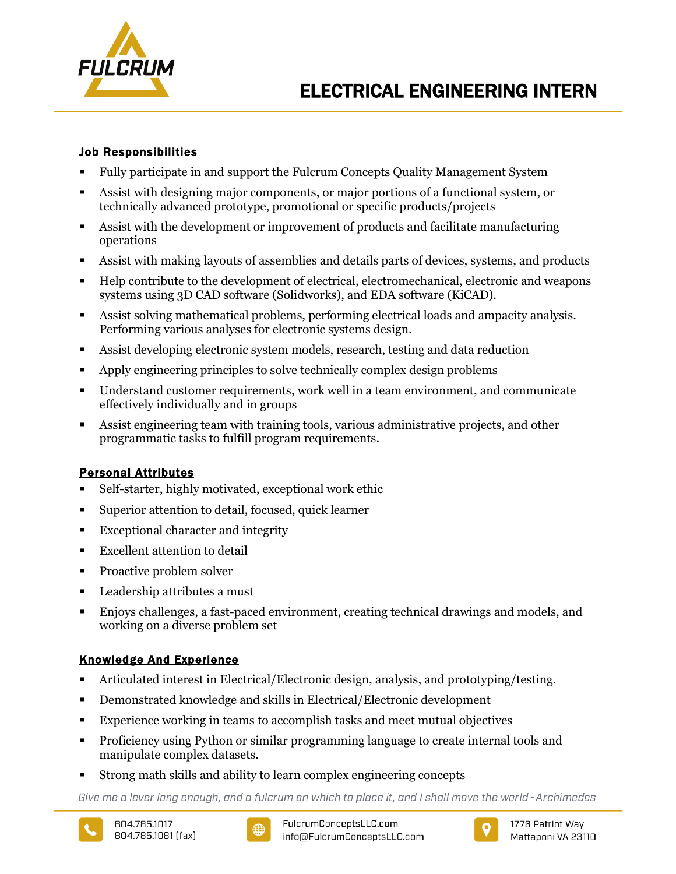

## Job Responsibilities

- Fully participate in and support the Fulcrum Concepts Quality Management System
- Assist with designing major components, or major portions of a functional system, or technically advanced prototype, promotional or specific products/projects
- Assist with the development or improvement of products and facilitate manufacturing operations
- Assist with making layouts of assemblies and details parts of devices, systems, and products
- Help contribute to the development of electrical, electromechanical, electronic and weapons systems using 3D CAD software (Solidworks), and EDA software (KiCAD).
- Assist solving mathematical problems, performing electrical loads and ampacity analysis. Performing various analyses for electronic systems design.
- Assist developing electronic system models, research, testing and data reduction
- Apply engineering principles to solve technically complex design problems
- Understand customer requirements, work well in a team environment, and communicate effectively individually and in groups
- Assist engineering team with training tools, various administrative projects, and other programmatic tasks to fulfill program requirements.

# Personal Attributes

- Self-starter, highly motivated, exceptional work ethic
- Superior attention to detail, focused, quick learner
- Exceptional character and integrity
- **Excellent attention to detail**
- Proactive problem solver
- Leadership attributes a must
- Enjoys challenges, a fast-paced environment, creating technical drawings and models, and working on a diverse problem set

# Knowledge And Experience

- Articulated interest in Electrical/Electronic design, analysis, and prototyping/testing.
- Demonstrated knowledge and skills in Electrical/Electronic development
- Experience working in teams to accomplish tasks and meet mutual objectives
- Proficiency using Python or similar programming language to create internal tools and manipulate complex datasets.
- Strong math skills and ability to learn complex engineering concepts

Give me a lever long enough, and a fulcrum on which to place it, and I shall move the world - Archimedes





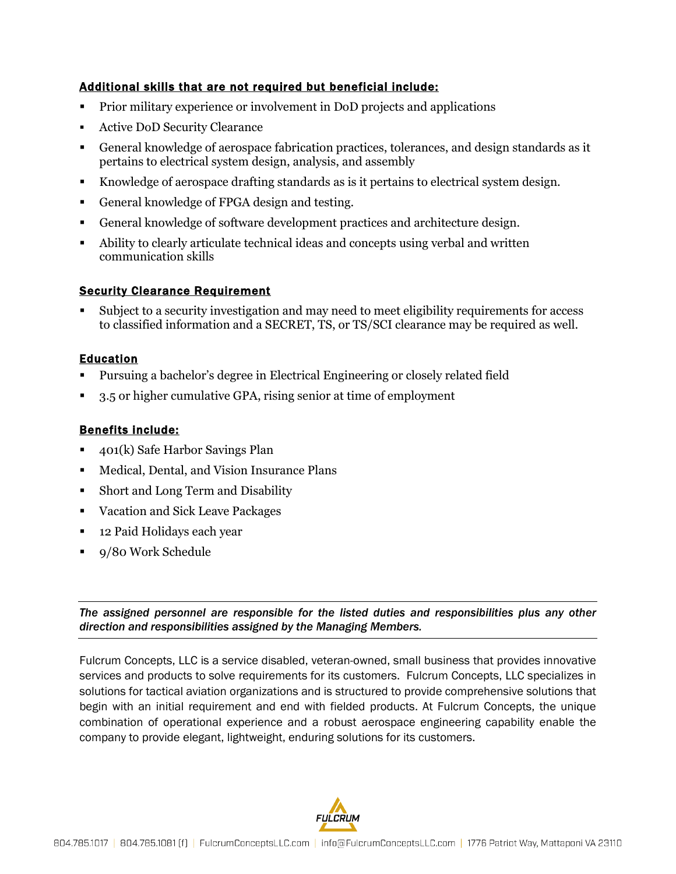## Additional skills that are not required but beneficial include:

- Prior military experience or involvement in DoD projects and applications
- Active DoD Security Clearance
- General knowledge of aerospace fabrication practices, tolerances, and design standards as it pertains to electrical system design, analysis, and assembly
- Knowledge of aerospace drafting standards as is it pertains to electrical system design.
- General knowledge of FPGA design and testing.
- General knowledge of software development practices and architecture design.
- Ability to clearly articulate technical ideas and concepts using verbal and written communication skills

## Security Clearance Requirement

 Subject to a security investigation and may need to meet eligibility requirements for access to classified information and a SECRET, TS, or TS/SCI clearance may be required as well.

## Education

- Pursuing a bachelor's degree in Electrical Engineering or closely related field
- 3.5 or higher cumulative GPA, rising senior at time of employment

## Benefits include:

- 401(k) Safe Harbor Savings Plan
- Medical, Dental, and Vision Insurance Plans
- Short and Long Term and Disability
- Vacation and Sick Leave Packages
- 12 Paid Holidays each year
- 9/80 Work Schedule

*The assigned personnel are responsible for the listed duties and responsibilities plus any other direction and responsibilities assigned by the Managing Members.*

Fulcrum Concepts, LLC is a service disabled, veteran-owned, small business that provides innovative services and products to solve requirements for its customers. Fulcrum Concepts, LLC specializes in solutions for tactical aviation organizations and is structured to provide comprehensive solutions that begin with an initial requirement and end with fielded products. At Fulcrum Concepts, the unique combination of operational experience and a robust aerospace engineering capability enable the company to provide elegant, lightweight, enduring solutions for its customers.